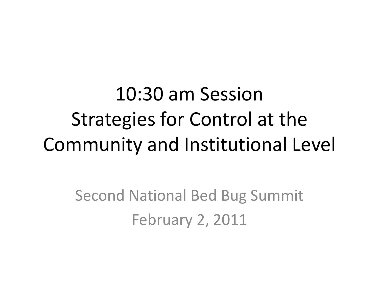10:30 am Session Strategies for Control at the Community and Institutional Level

> Second National Bed Bug Summit February 2, 2011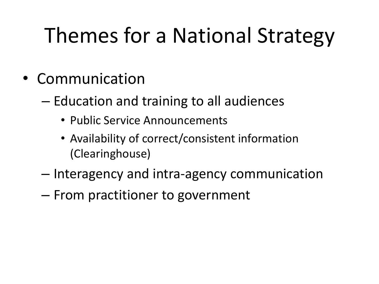## Themes for a National Strategy

- Communication
	- Education and training to all audiences
		- Public Service Announcements
		- Availability of correct/consistent information (Clearinghouse)
	- Interagency and intra-agency communication
	- From practitioner to government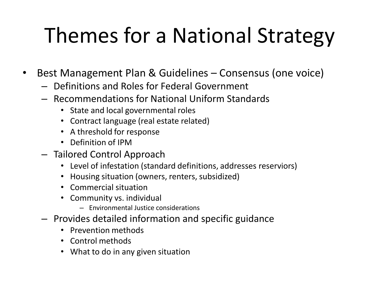## Themes for a National Strategy

- Best Management Plan & Guidelines Consensus (one voice)
	- Definitions and Roles for Federal Government
	- Recommendations for National Uniform Standards
		- State and local governmental roles
		- Contract language (real estate related)
		- A threshold for response
		- Definition of IPM
	- Tailored Control Approach
		- Level of infestation (standard definitions, addresses reserviors)
		- Housing situation (owners, renters, subsidized)
		- Commercial situation
		- Community vs. individual
			- Environmental Justice considerations
	- Provides detailed information and specific guidance
		- Prevention methods
		- Control methods
		- What to do in any given situation